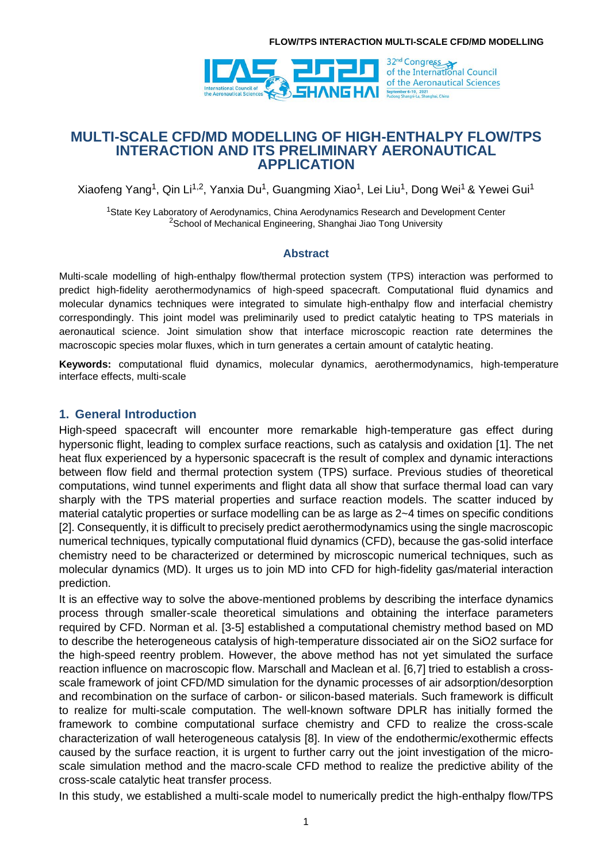

## **MULTI-SCALE CFD/MD MODELLING OF HIGH-ENTHALPY FLOW/TPS INTERACTION AND ITS PRELIMINARY AERONAUTICAL APPLICATION**

Xiaofeng Yang<sup>1</sup>, Qin Li<sup>1,2</sup>, Yanxia Du<sup>1</sup>, Guangming Xiao<sup>1</sup>, Lei Liu<sup>1</sup>, Dong Wei<sup>1</sup> & Yewei Gui<sup>1</sup>

<sup>1</sup>State Key Laboratory of Aerodynamics, China Aerodynamics Research and Development Center <sup>2</sup>School of Mechanical Engineering, Shanghai Jiao Tong University

### **Abstract**

Multi-scale modelling of high-enthalpy flow/thermal protection system (TPS) interaction was performed to predict high-fidelity aerothermodynamics of high-speed spacecraft. Computational fluid dynamics and molecular dynamics techniques were integrated to simulate high-enthalpy flow and interfacial chemistry correspondingly. This joint model was preliminarily used to predict catalytic heating to TPS materials in aeronautical science. Joint simulation show that interface microscopic reaction rate determines the macroscopic species molar fluxes, which in turn generates a certain amount of catalytic heating.

**Keywords:** computational fluid dynamics, molecular dynamics, aerothermodynamics, high-temperature interface effects, multi-scale

### **1. General Introduction**

High-speed spacecraft will encounter more remarkable high-temperature gas effect during hypersonic flight, leading to complex surface reactions, such as catalysis and oxidation [1]. The net heat flux experienced by a hypersonic spacecraft is the result of complex and dynamic interactions between flow field and thermal protection system (TPS) surface. Previous studies of theoretical computations, wind tunnel experiments and flight data all show that surface thermal load can vary sharply with the TPS material properties and surface reaction models. The scatter induced by material catalytic properties or surface modelling can be as large as 2~4 times on specific conditions [2]. Consequently, it is difficult to precisely predict aerothermodynamics using the single macroscopic numerical techniques, typically computational fluid dynamics (CFD), because the gas-solid interface chemistry need to be characterized or determined by microscopic numerical techniques, such as molecular dynamics (MD). It urges us to join MD into CFD for high-fidelity gas/material interaction prediction.

It is an effective way to solve the above-mentioned problems by describing the interface dynamics process through smaller-scale theoretical simulations and obtaining the interface parameters required by CFD. Norman et al. [3-5] established a computational chemistry method based on MD to describe the heterogeneous catalysis of high-temperature dissociated air on the SiO2 surface for the high-speed reentry problem. However, the above method has not yet simulated the surface reaction influence on macroscopic flow. Marschall and Maclean et al. [6,7] tried to establish a crossscale framework of joint CFD/MD simulation for the dynamic processes of air adsorption/desorption and recombination on the surface of carbon- or silicon-based materials. Such framework is difficult to realize for multi-scale computation. The well-known software DPLR has initially formed the framework to combine computational surface chemistry and CFD to realize the cross-scale characterization of wall heterogeneous catalysis [8]. In view of the endothermic/exothermic effects caused by the surface reaction, it is urgent to further carry out the joint investigation of the microscale simulation method and the macro-scale CFD method to realize the predictive ability of the cross-scale catalytic heat transfer process.

In this study, we established a multi-scale model to numerically predict the high-enthalpy flow/TPS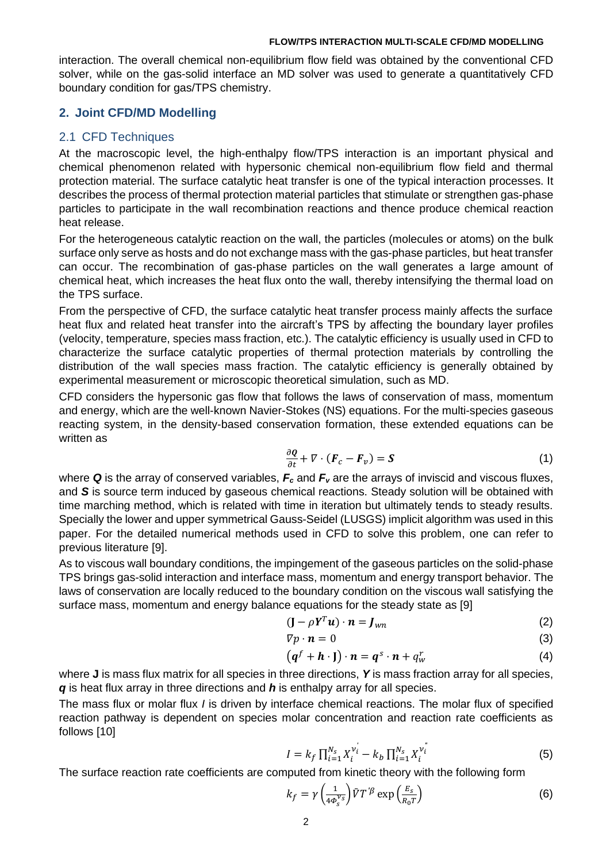interaction. The overall chemical non-equilibrium flow field was obtained by the conventional CFD solver, while on the gas-solid interface an MD solver was used to generate a quantitatively CFD boundary condition for gas/TPS chemistry.

### **2. Joint CFD/MD Modelling**

### 2.1 CFD Techniques

At the macroscopic level, the high-enthalpy flow/TPS interaction is an important physical and chemical phenomenon related with hypersonic chemical non-equilibrium flow field and thermal protection material. The surface catalytic heat transfer is one of the typical interaction processes. It describes the process of thermal protection material particles that stimulate or strengthen gas-phase particles to participate in the wall recombination reactions and thence produce chemical reaction heat release.

For the heterogeneous catalytic reaction on the wall, the particles (molecules or atoms) on the bulk surface only serve as hosts and do not exchange mass with the gas-phase particles, but heat transfer can occur. The recombination of gas-phase particles on the wall generates a large amount of chemical heat, which increases the heat flux onto the wall, thereby intensifying the thermal load on the TPS surface.

From the perspective of CFD, the surface catalytic heat transfer process mainly affects the surface heat flux and related heat transfer into the aircraft's TPS by affecting the boundary layer profiles (velocity, temperature, species mass fraction, etc.). The catalytic efficiency is usually used in CFD to characterize the surface catalytic properties of thermal protection materials by controlling the distribution of the wall species mass fraction. The catalytic efficiency is generally obtained by experimental measurement or microscopic theoretical simulation, such as MD.

CFD considers the hypersonic gas flow that follows the laws of conservation of mass, momentum and energy, which are the well-known Navier-Stokes (NS) equations. For the multi-species gaseous reacting system, in the density-based conservation formation, these extended equations can be written as

$$
\frac{\partial Q}{\partial t} + \nabla \cdot (\boldsymbol{F}_c - \boldsymbol{F}_v) = \boldsymbol{S} \tag{1}
$$

where *Q* is the array of conserved variables, *F<sup>c</sup>* and *F<sup>v</sup>* are the arrays of inviscid and viscous fluxes, and *S* is source term induced by gaseous chemical reactions. Steady solution will be obtained with time marching method, which is related with time in iteration but ultimately tends to steady results. Specially the lower and upper symmetrical Gauss-Seidel (LUSGS) implicit algorithm was used in this paper. For the detailed numerical methods used in CFD to solve this problem, one can refer to previous literature [9].

As to viscous wall boundary conditions, the impingement of the gaseous particles on the solid-phase TPS brings gas-solid interaction and interface mass, momentum and energy transport behavior. The laws of conservation are locally reduced to the boundary condition on the viscous wall satisfying the surface mass, momentum and energy balance equations for the steady state as [9]

$$
(\mathbf{J} - \rho \mathbf{Y}^T \mathbf{u}) \cdot \mathbf{n} = \mathbf{J}_{wn}
$$
 (2)

$$
\nabla p \cdot \mathbf{n} = 0 \tag{3}
$$

$$
(qf + h \cdot J) \cdot n = qs \cdot n + qwr
$$
 (4)

where **J** is mass flux matrix for all species in three directions, *Y* is mass fraction array for all species, *q* is heat flux array in three directions and *h* is enthalpy array for all species.

The mass flux or molar flux *I* is driven by interface chemical reactions. The molar flux of specified reaction pathway is dependent on species molar concentration and reaction rate coefficients as follows [10]

$$
I = k_f \prod_{i=1}^{N_s} X_i^{\nu_i} - k_b \prod_{i=1}^{N_s} X_i^{\nu_i} \tag{5}
$$

The surface reaction rate coefficients are computed from kinetic theory with the following form

$$
k_f = \gamma \left(\frac{1}{4\phi_s^{\nu_s}}\right) \bar{V} T^{\prime \beta} \exp\left(\frac{E_s}{R_0 T}\right) \tag{6}
$$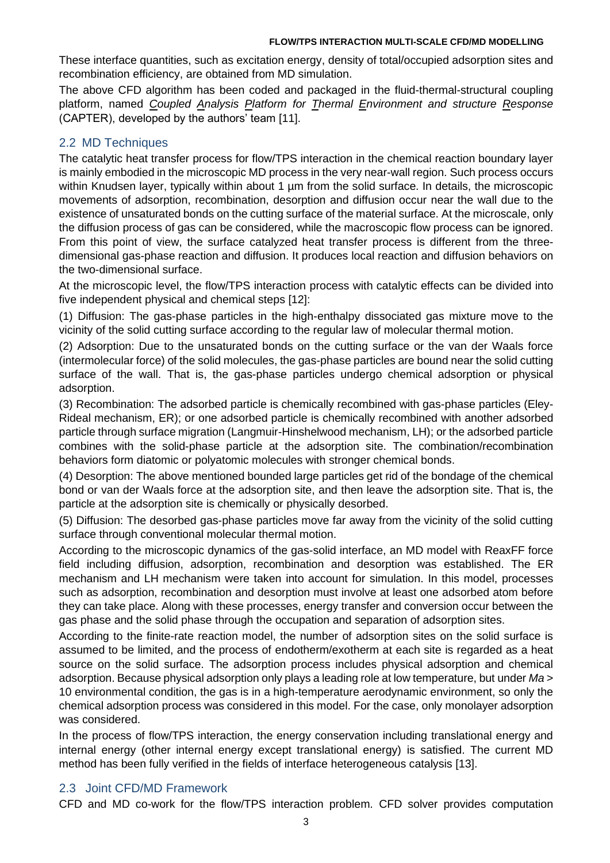These interface quantities, such as excitation energy, density of total/occupied adsorption sites and recombination efficiency, are obtained from MD simulation.

The above CFD algorithm has been coded and packaged in the fluid-thermal-structural coupling platform, named *Coupled Analysis Platform for Thermal Environment and structure Response* (CAPTER), developed by the authors' team [11].

# 2.2 MD Techniques

The catalytic heat transfer process for flow/TPS interaction in the chemical reaction boundary layer is mainly embodied in the microscopic MD process in the very near-wall region. Such process occurs within Knudsen layer, typically within about 1 µm from the solid surface. In details, the microscopic movements of adsorption, recombination, desorption and diffusion occur near the wall due to the existence of unsaturated bonds on the cutting surface of the material surface. At the microscale, only the diffusion process of gas can be considered, while the macroscopic flow process can be ignored. From this point of view, the surface catalyzed heat transfer process is different from the threedimensional gas-phase reaction and diffusion. It produces local reaction and diffusion behaviors on the two-dimensional surface.

At the microscopic level, the flow/TPS interaction process with catalytic effects can be divided into five independent physical and chemical steps [12]:

(1) Diffusion: The gas-phase particles in the high-enthalpy dissociated gas mixture move to the vicinity of the solid cutting surface according to the regular law of molecular thermal motion.

(2) Adsorption: Due to the unsaturated bonds on the cutting surface or the van der Waals force (intermolecular force) of the solid molecules, the gas-phase particles are bound near the solid cutting surface of the wall. That is, the gas-phase particles undergo chemical adsorption or physical adsorption.

(3) Recombination: The adsorbed particle is chemically recombined with gas-phase particles (Eley-Rideal mechanism, ER); or one adsorbed particle is chemically recombined with another adsorbed particle through surface migration (Langmuir-Hinshelwood mechanism, LH); or the adsorbed particle combines with the solid-phase particle at the adsorption site. The combination/recombination behaviors form diatomic or polyatomic molecules with stronger chemical bonds.

(4) Desorption: The above mentioned bounded large particles get rid of the bondage of the chemical bond or van der Waals force at the adsorption site, and then leave the adsorption site. That is, the particle at the adsorption site is chemically or physically desorbed.

(5) Diffusion: The desorbed gas-phase particles move far away from the vicinity of the solid cutting surface through conventional molecular thermal motion.

According to the microscopic dynamics of the gas-solid interface, an MD model with ReaxFF force field including diffusion, adsorption, recombination and desorption was established. The ER mechanism and LH mechanism were taken into account for simulation. In this model, processes such as adsorption, recombination and desorption must involve at least one adsorbed atom before they can take place. Along with these processes, energy transfer and conversion occur between the gas phase and the solid phase through the occupation and separation of adsorption sites.

According to the finite-rate reaction model, the number of adsorption sites on the solid surface is assumed to be limited, and the process of endotherm/exotherm at each site is regarded as a heat source on the solid surface. The adsorption process includes physical adsorption and chemical adsorption. Because physical adsorption only plays a leading role at low temperature, but under *Ma* > 10 environmental condition, the gas is in a high-temperature aerodynamic environment, so only the chemical adsorption process was considered in this model. For the case, only monolayer adsorption was considered.

In the process of flow/TPS interaction, the energy conservation including translational energy and internal energy (other internal energy except translational energy) is satisfied. The current MD method has been fully verified in the fields of interface heterogeneous catalysis [13].

## 2.3 Joint CFD/MD Framework

CFD and MD co-work for the flow/TPS interaction problem. CFD solver provides computation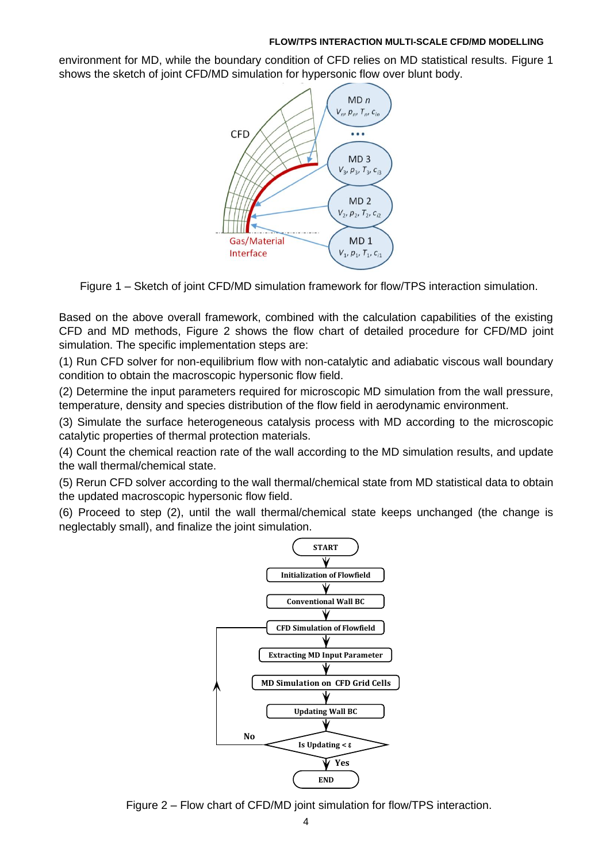environment for MD, while the boundary condition of CFD relies on MD statistical results. Figure 1 shows the sketch of joint CFD/MD simulation for hypersonic flow over blunt body.



Figure 1 – Sketch of joint CFD/MD simulation framework for flow/TPS interaction simulation.

Based on the above overall framework, combined with the calculation capabilities of the existing CFD and MD methods, Figure 2 shows the flow chart of detailed procedure for CFD/MD joint simulation. The specific implementation steps are:

(1) Run CFD solver for non-equilibrium flow with non-catalytic and adiabatic viscous wall boundary condition to obtain the macroscopic hypersonic flow field.

(2) Determine the input parameters required for microscopic MD simulation from the wall pressure, temperature, density and species distribution of the flow field in aerodynamic environment.

(3) Simulate the surface heterogeneous catalysis process with MD according to the microscopic catalytic properties of thermal protection materials.

(4) Count the chemical reaction rate of the wall according to the MD simulation results, and update the wall thermal/chemical state.

(5) Rerun CFD solver according to the wall thermal/chemical state from MD statistical data to obtain the updated macroscopic hypersonic flow field.

(6) Proceed to step (2), until the wall thermal/chemical state keeps unchanged (the change is neglectably small), and finalize the joint simulation.



Figure 2 – Flow chart of CFD/MD joint simulation for flow/TPS interaction.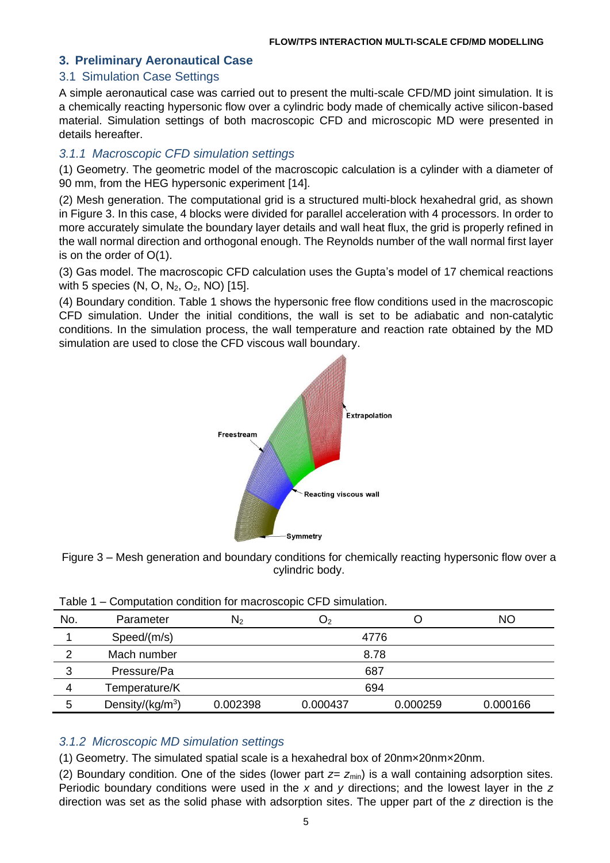# **3. Preliminary Aeronautical Case**

## 3.1 Simulation Case Settings

A simple aeronautical case was carried out to present the multi-scale CFD/MD joint simulation. It is a chemically reacting hypersonic flow over a cylindric body made of chemically active silicon-based material. Simulation settings of both macroscopic CFD and microscopic MD were presented in details hereafter.

## *3.1.1 Macroscopic CFD simulation settings*

(1) Geometry. The geometric model of the macroscopic calculation is a cylinder with a diameter of 90 mm, from the HEG hypersonic experiment [14].

(2) Mesh generation. The computational grid is a structured multi-block hexahedral grid, as shown in Figure 3. In this case, 4 blocks were divided for parallel acceleration with 4 processors. In order to more accurately simulate the boundary layer details and wall heat flux, the grid is properly refined in the wall normal direction and orthogonal enough. The Reynolds number of the wall normal first layer is on the order of O(1).

(3) Gas model. The macroscopic CFD calculation uses the Gupta's model of 17 chemical reactions with 5 species (N, O, N<sub>2</sub>, O<sub>2</sub>, NO) [15].

(4) Boundary condition. Table 1 shows the hypersonic free flow conditions used in the macroscopic CFD simulation. Under the initial conditions, the wall is set to be adiabatic and non-catalytic conditions. In the simulation process, the wall temperature and reaction rate obtained by the MD simulation are used to close the CFD viscous wall boundary.





| No. | Parameter           | $\mathsf{N}_2$ | Ő2       |          | <b>NO</b> |  |  |
|-----|---------------------|----------------|----------|----------|-----------|--|--|
|     | Speed/(m/s)         | 4776           |          |          |           |  |  |
| 2   | Mach number         | 8.78           |          |          |           |  |  |
| 3   | Pressure/Pa         | 687            |          |          |           |  |  |
| 4   | Temperature/K       | 694            |          |          |           |  |  |
| 5   | Density/( $kg/m3$ ) | 0.002398       | 0.000437 | 0.000259 | 0.000166  |  |  |
|     |                     |                |          |          |           |  |  |

Table 1 – Computation condition for macroscopic CFD simulation.

## *3.1.2 Microscopic MD simulation settings*

(1) Geometry. The simulated spatial scale is a hexahedral box of 20nm×20nm×20nm.

(2) Boundary condition. One of the sides (lower part  $z=z_{min}$ ) is a wall containing adsorption sites. Periodic boundary conditions were used in the *x* and *y* directions; and the lowest layer in the *z* direction was set as the solid phase with adsorption sites. The upper part of the *z* direction is the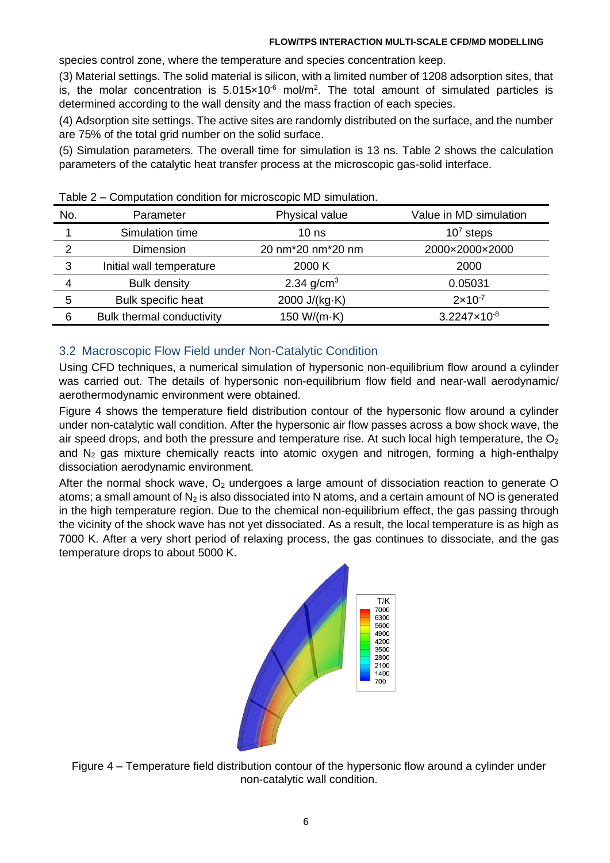species control zone, where the temperature and species concentration keep.

(3) Material settings. The solid material is silicon, with a limited number of 1208 adsorption sites, that is, the molar concentration is  $5.015 \times 10^{-6}$  mol/m<sup>2</sup>. The total amount of simulated particles is determined according to the wall density and the mass fraction of each species.

(4) Adsorption site settings. The active sites are randomly distributed on the surface, and the number are 75% of the total grid number on the solid surface.

(5) Simulation parameters. The overall time for simulation is 13 ns. Table 2 shows the calculation parameters of the catalytic heat transfer process at the microscopic gas-solid interface.

| No.           | Parameter                 | Physical value                              | Value in MD simulation |
|---------------|---------------------------|---------------------------------------------|------------------------|
|               | Simulation time           | 10 <sub>ns</sub>                            | $107$ steps            |
| $\mathcal{P}$ | <b>Dimension</b>          | 20 nm <sup>*</sup> 20 nm <sup>*</sup> 20 nm | 2000×2000×2000         |
| 3             | Initial wall temperature  | 2000 K                                      | 2000                   |
| 4             | <b>Bulk density</b>       | 2.34 $g/cm^{3}$                             | 0.05031                |
| 5             | Bulk specific heat        | 2000 $J/(kg·K)$                             | $2 \times 10^{-7}$     |
| 6             | Bulk thermal conductivity | 150 W/( $m$ ·K)                             | $3.2247\times10^{-8}$  |

Table 2 – Computation condition for microscopic MD simulation.

# 3.2 Macroscopic Flow Field under Non-Catalytic Condition

Using CFD techniques, a numerical simulation of hypersonic non-equilibrium flow around a cylinder was carried out. The details of hypersonic non-equilibrium flow field and near-wall aerodynamic/ aerothermodynamic environment were obtained.

Figure 4 shows the temperature field distribution contour of the hypersonic flow around a cylinder under non-catalytic wall condition. After the hypersonic air flow passes across a bow shock wave, the air speed drops, and both the pressure and temperature rise. At such local high temperature, the  $O<sub>2</sub>$ and  $N_2$  gas mixture chemically reacts into atomic oxygen and nitrogen, forming a high-enthalpy dissociation aerodynamic environment.

After the normal shock wave,  $O<sub>2</sub>$  undergoes a large amount of dissociation reaction to generate O atoms; a small amount of  $N_2$  is also dissociated into N atoms, and a certain amount of NO is generated in the high temperature region. Due to the chemical non-equilibrium effect, the gas passing through the vicinity of the shock wave has not yet dissociated. As a result, the local temperature is as high as 7000 K. After a very short period of relaxing process, the gas continues to dissociate, and the gas temperature drops to about 5000 K.



Figure 4 – Temperature field distribution contour of the hypersonic flow around a cylinder under non-catalytic wall condition.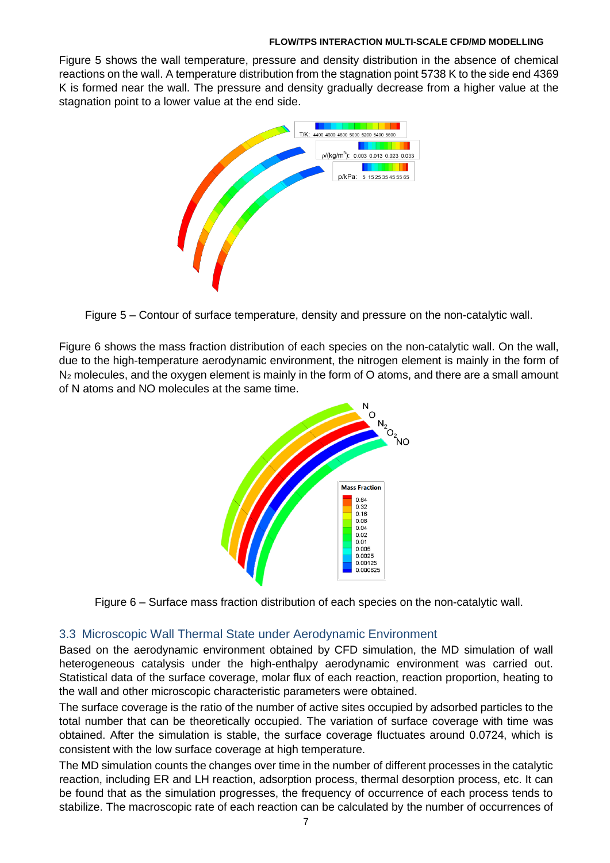Figure 5 shows the wall temperature, pressure and density distribution in the absence of chemical reactions on the wall. A temperature distribution from the stagnation point 5738 K to the side end 4369 K is formed near the wall. The pressure and density gradually decrease from a higher value at the stagnation point to a lower value at the end side.



Figure 5 – Contour of surface temperature, density and pressure on the non-catalytic wall.

Figure 6 shows the mass fraction distribution of each species on the non-catalytic wall. On the wall, due to the high-temperature aerodynamic environment, the nitrogen element is mainly in the form of  $N_2$  molecules, and the oxygen element is mainly in the form of O atoms, and there are a small amount of N atoms and NO molecules at the same time.





### 3.3 Microscopic Wall Thermal State under Aerodynamic Environment

Based on the aerodynamic environment obtained by CFD simulation, the MD simulation of wall heterogeneous catalysis under the high-enthalpy aerodynamic environment was carried out. Statistical data of the surface coverage, molar flux of each reaction, reaction proportion, heating to the wall and other microscopic characteristic parameters were obtained.

The surface coverage is the ratio of the number of active sites occupied by adsorbed particles to the total number that can be theoretically occupied. The variation of surface coverage with time was obtained. After the simulation is stable, the surface coverage fluctuates around 0.0724, which is consistent with the low surface coverage at high temperature.

The MD simulation counts the changes over time in the number of different processes in the catalytic reaction, including ER and LH reaction, adsorption process, thermal desorption process, etc. It can be found that as the simulation progresses, the frequency of occurrence of each process tends to stabilize. The macroscopic rate of each reaction can be calculated by the number of occurrences of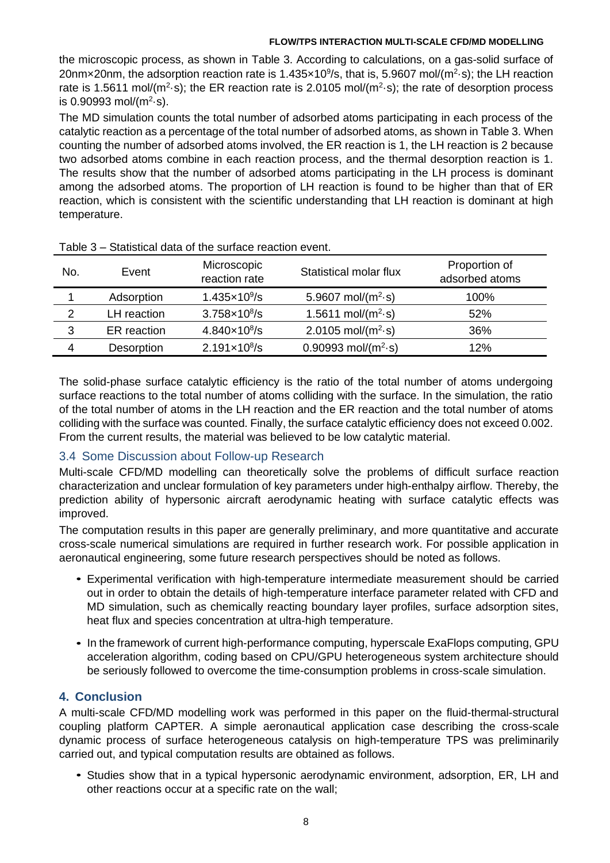the microscopic process, as shown in Table 3. According to calculations, on a gas-solid surface of 20nm×20nm, the adsorption reaction rate is 1.435×10<sup>9</sup>/s, that is, 5.9607 mol/(m<sup>2</sup>·s); the LH reaction rate is 1.5611 mol/ $(m^2 \cdot s)$ ; the ER reaction rate is 2.0105 mol/ $(m^2 \cdot s)$ ; the rate of desorption process is 0.90993 mol/ $(m^2 \cdot s)$ .

The MD simulation counts the total number of adsorbed atoms participating in each process of the catalytic reaction as a percentage of the total number of adsorbed atoms, as shown in Table 3. When counting the number of adsorbed atoms involved, the ER reaction is 1, the LH reaction is 2 because two adsorbed atoms combine in each reaction process, and the thermal desorption reaction is 1. The results show that the number of adsorbed atoms participating in the LH process is dominant among the adsorbed atoms. The proportion of LH reaction is found to be higher than that of ER reaction, which is consistent with the scientific understanding that LH reaction is dominant at high temperature.

| Event       | Microscopic<br>reaction rate | Statistical molar flux                   | Proportion of<br>adsorbed atoms |  |  |  |
|-------------|------------------------------|------------------------------------------|---------------------------------|--|--|--|
| Adsorption  | $1.435 \times 10^9$ /s       | 5.9607 mol/ $(m^2-s)$                    | 100%                            |  |  |  |
| LH reaction | $3.758 \times 10^8$ /s       | 1.5611 mol/( $m^2$ -s)                   | 52%                             |  |  |  |
| ER reaction | $4.840 \times 10^8$ /s       | 2.0105 mol/ $(m^2-s)$                    | 36%                             |  |  |  |
| Desorption  | $2.191 \times 10^8$ /s       | $0.90993$ mol/(m <sup>2</sup> $\cdot$ s) | 12%                             |  |  |  |
|             |                              |                                          |                                 |  |  |  |

The solid-phase surface catalytic efficiency is the ratio of the total number of atoms undergoing surface reactions to the total number of atoms colliding with the surface. In the simulation, the ratio of the total number of atoms in the LH reaction and the ER reaction and the total number of atoms colliding with the surface was counted. Finally, the surface catalytic efficiency does not exceed 0.002. From the current results, the material was believed to be low catalytic material.

# 3.4 Some Discussion about Follow-up Research

Multi-scale CFD/MD modelling can theoretically solve the problems of difficult surface reaction characterization and unclear formulation of key parameters under high-enthalpy airflow. Thereby, the prediction ability of hypersonic aircraft aerodynamic heating with surface catalytic effects was improved.

The computation results in this paper are generally preliminary, and more quantitative and accurate cross-scale numerical simulations are required in further research work. For possible application in aeronautical engineering, some future research perspectives should be noted as follows.

- Experimental verification with high-temperature intermediate measurement should be carried *•* out in order to obtain the details of high-temperature interface parameter related with CFD and MD simulation, such as chemically reacting boundary layer profiles, surface adsorption sites, heat flux and species concentration at ultra-high temperature.
- In the framework of current high-performance computing, hyperscale ExaFlops computing, GPU acceleration algorithm, coding based on CPU/GPU heterogeneous system architecture should be seriously followed to overcome the time-consumption problems in cross-scale simulation.

# **4. Conclusion**

A multi-scale CFD/MD modelling work was performed in this paper on the fluid-thermal-structural coupling platform CAPTER. A simple aeronautical application case describing the cross-scale dynamic process of surface heterogeneous catalysis on high-temperature TPS was preliminarily carried out, and typical computation results are obtained as follows.

Studies show that in a typical hypersonic aerodynamic environment, adsorption, ER, LH and *•* other reactions occur at a specific rate on the wall;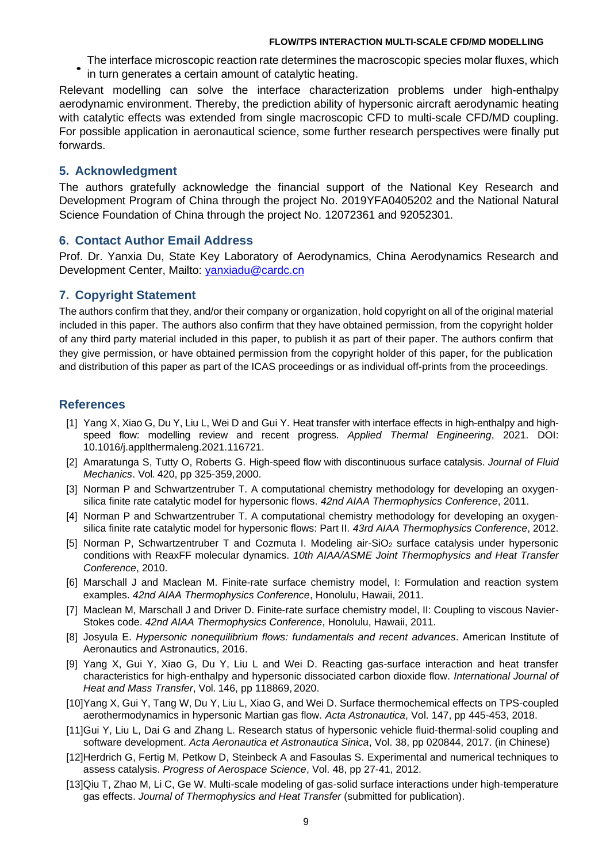- The interface microscopic reaction rate determines the macroscopic species molar fluxes, which *•*
- in turn generates a certain amount of catalytic heating.

Relevant modelling can solve the interface characterization problems under high-enthalpy aerodynamic environment. Thereby, the prediction ability of hypersonic aircraft aerodynamic heating with catalytic effects was extended from single macroscopic CFD to multi-scale CFD/MD coupling. For possible application in aeronautical science, some further research perspectives were finally put forwards.

### **5. Acknowledgment**

The authors gratefully acknowledge the financial support of the National Key Research and Development Program of China through the project No. 2019YFA0405202 and the National Natural Science Foundation of China through the project No. 12072361 and 92052301.

### **6. Contact Author Email Address**

Prof. Dr. Yanxia Du, State Key Laboratory of Aerodynamics, China Aerodynamics Research and Development Center, Mailto: [yanxiadu@cardc.cn](mailto:yanxiadu@cardc.cn)

## **7. Copyright Statement**

The authors confirm that they, and/or their company or organization, hold copyright on all of the original material included in this paper. The authors also confirm that they have obtained permission, from the copyright holder of any third party material included in this paper, to publish it as part of their paper. The authors confirm that they give permission, or have obtained permission from the copyright holder of this paper, for the publication and distribution of this paper as part of the ICAS proceedings or as individual off-prints from the proceedings.

## **References**

- [1] Yang X, Xiao G, Du Y, Liu L, Wei D and Gui Y. Heat transfer with interface effects in high-enthalpy and highspeed flow: modelling review and recent progress. *Applied Thermal Engineering*, 2021. DOI: 10.1016/j.applthermaleng.2021.116721.
- [2] Amaratunga S, Tutty O, Roberts G. High-speed flow with discontinuous surface catalysis. *Journal of Fluid Mechanics*. Vol. 420, pp 325-359,2000.
- [3] Norman P and Schwartzentruber T. A computational chemistry methodology for developing an oxygensilica finite rate catalytic model for hypersonic flows. *42nd AIAA Thermophysics Conference*, 2011.
- [4] Norman P and Schwartzentruber T. A computational chemistry methodology for developing an oxygensilica finite rate catalytic model for hypersonic flows: Part II. *43rd AIAA Thermophysics Conference*, 2012.
- [5] Norman P, Schwartzentruber T and Cozmuta I. Modeling air-SiO<sub>2</sub> surface catalysis under hypersonic conditions with ReaxFF molecular dynamics. *10th AIAA/ASME Joint Thermophysics and Heat Transfer Conference*, 2010.
- [6] Marschall J and Maclean M. Finite-rate surface chemistry model, I: Formulation and reaction system examples. *42nd AIAA Thermophysics Conference*, Honolulu, Hawaii, 2011.
- [7] Maclean M, Marschall J and Driver D. Finite-rate surface chemistry model, II: Coupling to viscous Navier-Stokes code. *42nd AIAA Thermophysics Conference*, Honolulu, Hawaii, 2011.
- [8] Josyula E. *Hypersonic nonequilibrium flows: fundamentals and recent advances*. American Institute of Aeronautics and Astronautics, 2016.
- [9] Yang X, Gui Y, Xiao G, Du Y, Liu L and Wei D. Reacting gas-surface interaction and heat transfer characteristics for high-enthalpy and hypersonic dissociated carbon dioxide flow. *International Journal of Heat and Mass Transfer*, Vol. 146, pp 118869, 2020.
- [10]Yang X, Gui Y, Tang W, Du Y, Liu L, Xiao G, and Wei D. Surface thermochemical effects on TPS-coupled aerothermodynamics in hypersonic Martian gas flow. *Acta Astronautica*, Vol. 147, pp 445-453, 2018.
- [11]Gui Y, Liu L, Dai G and Zhang L. Research status of hypersonic vehicle fluid-thermal-solid coupling and software development. *Acta Aeronautica et Astronautica Sinica*, Vol. 38, pp 020844, 2017. (in Chinese)
- [12]Herdrich G, Fertig M, Petkow D, Steinbeck A and Fasoulas S. Experimental and numerical techniques to assess catalysis. *Progress of Aerospace Science*, Vol. 48, pp 27-41, 2012.
- [13]Qiu T, Zhao M, Li C, Ge W. Multi-scale modeling of gas-solid surface interactions under high-temperature gas effects. *Journal of Thermophysics and Heat Transfer* (submitted for publication).